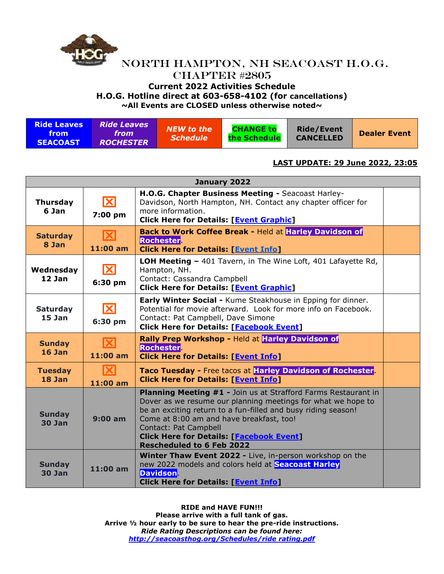

**~All Events are CLOSED unless otherwise noted~**

| <b>Ride Leaves</b><br><b>Ride Leaves</b> .<br>from <b>f</b><br>from<br><b>ROCHESTER</b><br><b>SEACOAST</b> | NEW to the<br><i><b>Schedule</b></i> | <b>CHANGE to</b><br>the Schedule | <b>Ride/Event</b><br><b>CANCELLED</b> | <b>Dealer Event</b> |
|------------------------------------------------------------------------------------------------------------|--------------------------------------|----------------------------------|---------------------------------------|---------------------|
|------------------------------------------------------------------------------------------------------------|--------------------------------------|----------------------------------|---------------------------------------|---------------------|

#### **LAST UPDATE: 29 June 2022, 23:05**

| January 2022                   |                                     |                                                                                                                                                                                                                                                                                                                                                             |  |  |  |  |
|--------------------------------|-------------------------------------|-------------------------------------------------------------------------------------------------------------------------------------------------------------------------------------------------------------------------------------------------------------------------------------------------------------------------------------------------------------|--|--|--|--|
| <b>Thursday</b><br>6 Jan       | 区<br>7:00 pm                        | H.O.G. Chapter Business Meeting - Seacoast Harley-<br>Davidson, North Hampton, NH. Contact any chapter officer for<br>more information.<br><b>Click Here for Details: [Event Graphic]</b>                                                                                                                                                                   |  |  |  |  |
| <b>Saturday</b><br>8 Jan       | $ \mathsf{X} $<br>$11:00$ am        | Back to Work Coffee Break - Held at Harley Davidson of<br><b>Rochester</b><br><b>Click Here for Details: [Event Info]</b>                                                                                                                                                                                                                                   |  |  |  |  |
| Wednesday<br>$12$ Jan          | ΙXΙ<br>6:30 pm                      | LOH Meeting - 401 Tavern, in The Wine Loft, 401 Lafayette Rd,<br>Hampton, NH.<br>Contact: Cassandra Campbell<br><b>Click Here for Details: [Event Graphic]</b>                                                                                                                                                                                              |  |  |  |  |
| <b>Saturday</b><br>$15$ Jan    | ΙXΙ<br>6:30 pm                      | <b>Early Winter Social - Kume Steakhouse in Epping for dinner.</b><br>Potential for movie afterward. Look for more info on Facebook.<br>Contact: Pat Campbell, Dave Simone<br><b>Click Here for Details: [Facebook Event]</b>                                                                                                                               |  |  |  |  |
| <b>Sunday</b><br>$16$ Jan      | $ \mathbf{X} $<br>$11:00$ am        | Rally Prep Workshop - Held at Harley Davidson of<br><b>Rochester</b><br><b>Click Here for Details: [Event Info]</b>                                                                                                                                                                                                                                         |  |  |  |  |
| <b>Tuesday</b><br>$18$ Jan     | $ \boldsymbol{\times} $<br>11:00 am | Taco Tuesday - Free tacos at Harley Davidson of Rochester.<br><b>Click Here for Details: [Event Info]</b>                                                                                                                                                                                                                                                   |  |  |  |  |
| <b>Sunday</b><br><b>30 Jan</b> | 9:00 am                             | Planning Meeting #1 - Join us at Strafford Farms Restaurant in<br>Dover as we resume our planning meetings for what we hope to<br>be an exciting return to a fun-filled and busy riding season!<br>Come at 8:00 am and have breakfast, too!<br>Contact: Pat Campbell<br><b>Click Here for Details: [Facebook Event]</b><br><b>Rescheduled to 6 Feb 2022</b> |  |  |  |  |
| <b>Sunday</b><br><b>30 Jan</b> | $11:00$ am                          | Winter Thaw Event 2022 - Live, in-person workshop on the<br>new 2022 models and colors held at <b>Seacoast Harley</b><br><b>Davidson</b>                                                                                                                                                                                                                    |  |  |  |  |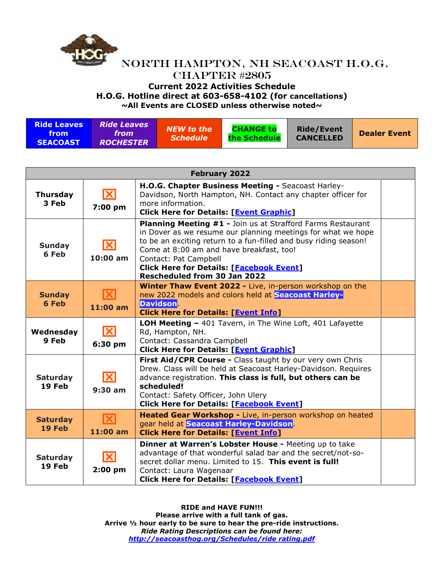

**~All Events are CLOSED unless otherwise noted~**

| <b>Ride Leaves</b><br><b>Ride Leaves</b><br><b>NEW to the</b><br>from<br>from<br><i><b>Schedule</b></i><br><b>ROCHESTER</b><br><b>SEACOAST</b> | <b>CHANGE to</b><br>the Schedule | <b>Ride/Event</b><br><b>CANCELLED</b> | <b>Dealer Event</b> |
|------------------------------------------------------------------------------------------------------------------------------------------------|----------------------------------|---------------------------------------|---------------------|
|------------------------------------------------------------------------------------------------------------------------------------------------|----------------------------------|---------------------------------------|---------------------|

| <b>February 2022</b>      |                            |                                                                                                                                                                                                                                                                                                                                                                |  |  |  |
|---------------------------|----------------------------|----------------------------------------------------------------------------------------------------------------------------------------------------------------------------------------------------------------------------------------------------------------------------------------------------------------------------------------------------------------|--|--|--|
| <b>Thursday</b><br>3 Feb  | X<br>7:00 pm               | H.O.G. Chapter Business Meeting - Seacoast Harley-<br>Davidson, North Hampton, NH. Contact any chapter officer for<br>more information.<br><b>Click Here for Details: [Event Graphic]</b>                                                                                                                                                                      |  |  |  |
| <b>Sunday</b><br>6 Feb    | $ \mathbf{X} $<br>10:00 am | <b>Planning Meeting #1 - Join us at Strafford Farms Restaurant</b><br>in Dover as we resume our planning meetings for what we hope<br>to be an exciting return to a fun-filled and busy riding season!<br>Come at 8:00 am and have breakfast, too!<br>Contact: Pat Campbell<br><b>Click Here for Details: [Facebook Event]</b><br>Rescheduled from 30 Jan 2022 |  |  |  |
| <b>Sunday</b><br>6 Feb    | 11:00 am                   | <b>Winter Thaw Event 2022 - Live, in-person workshop on the</b><br>new 2022 models and colors held at Seacoast Harley-<br><b>Davidson</b><br><b>Click Here for Details: [Event Info]</b>                                                                                                                                                                       |  |  |  |
| Wednesday<br>9 Feb        | X<br>6:30 pm               | LOH Meeting - 401 Tavern, in The Wine Loft, 401 Lafayette<br>Rd, Hampton, NH.<br>Contact: Cassandra Campbell<br><b>Click Here for Details: [Event Graphic]</b>                                                                                                                                                                                                 |  |  |  |
| <b>Saturday</b><br>19 Feb | X<br>$9:30$ am             | First Aid/CPR Course - Class taught by our very own Chris<br>Drew. Class will be held at Seacoast Harley-Davidson. Requires<br>advance registration. This class is full, but others can be<br>scheduled!<br>Contact: Safety Officer, John Ulery<br><b>Click Here for Details: [Facebook Event]</b>                                                             |  |  |  |
| <b>Saturday</b><br>19 Feb | K<br>11:00 am              | Heated Gear Workshop - Live, in-person workshop on heated<br>gear held at Seacoast Harley-Davidson<br><b>Click Here for Details: [Event Info]</b>                                                                                                                                                                                                              |  |  |  |
| <b>Saturday</b><br>19 Feb | X<br>$2:00$ pm             | Dinner at Warren's Lobster House - Meeting up to take<br>advantage of that wonderful salad bar and the secret/not-so-<br>secret dollar menu. Limited to 15. This event is full!<br>Contact: Laura Wagenaar<br><b>Click Here for Details: [Facebook Event]</b>                                                                                                  |  |  |  |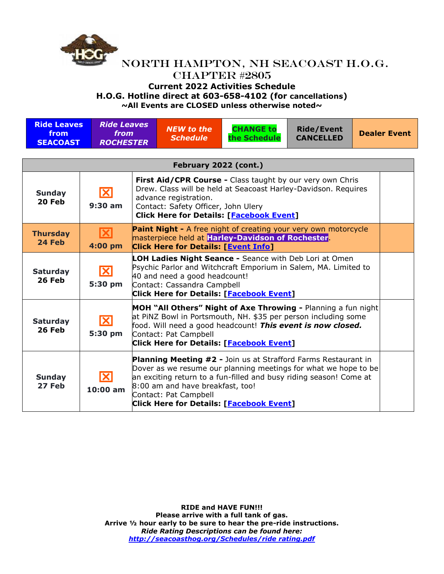

# **Current 2022 Activities Schedule**

**H.O.G. Hotline direct at 603-658-4102 (for cancellations)**

| <b>Ride Leaves</b><br>from<br><b>SEACOAST</b> | <b>Ride Leaves</b><br>from<br><b>ROCHESTER</b> | <b>NEW to the</b><br><b>Schedule</b>                                                                                                                                                                                                                                                                                    | <b>CHANGE to</b><br>the Schedule | <b>Ride/Event</b><br><b>CANCELLED</b> | <b>Dealer Event</b> |  |
|-----------------------------------------------|------------------------------------------------|-------------------------------------------------------------------------------------------------------------------------------------------------------------------------------------------------------------------------------------------------------------------------------------------------------------------------|----------------------------------|---------------------------------------|---------------------|--|
|                                               |                                                |                                                                                                                                                                                                                                                                                                                         |                                  |                                       |                     |  |
|                                               |                                                | February 2022 (cont.)                                                                                                                                                                                                                                                                                                   |                                  |                                       |                     |  |
| <b>Sunday</b><br>20 Feb                       | $\mathbf{X}$<br>$9:30$ am                      | First Aid/CPR Course - Class taught by our very own Chris<br>Drew. Class will be held at Seacoast Harley-Davidson. Requires<br>advance registration.<br>Contact: Safety Officer, John Ulery<br><b>Click Here for Details: [Facebook Event]</b>                                                                          |                                  |                                       |                     |  |
| <b>Thursday</b><br>24 Feb                     | $\mathbf{X}$<br>4:00 pm                        | <b>Paint Night -</b> A free night of creating your very own motorcycle<br>masterpiece held at Harley-Davidson of Rochester.<br><b>Click Here for Details: [Event Info]</b>                                                                                                                                              |                                  |                                       |                     |  |
| <b>Saturday</b><br><b>26 Feb</b>              | $ \mathbf{X} $<br>5:30 pm                      | <b>LOH Ladies Night Seance -</b> Seance with Deb Lori at Omen<br>Psychic Parlor and Witchcraft Emporium in Salem, MA. Limited to<br>40 and need a good headcount!<br>Contact: Cassandra Campbell<br><b>Click Here for Details: [Facebook Event]</b>                                                                     |                                  |                                       |                     |  |
| <b>Saturday</b><br><b>26 Feb</b>              | $\mathbf{X}$<br>5:30 pm                        | MOH "All Others" Night of Axe Throwing - Planning a fun night<br>at PINZ Bowl in Portsmouth, NH. \$35 per person including some<br>food. Will need a good headcount! This event is now closed.<br>Contact: Pat Campbell<br>Click Here for Details: [Facebook Event]                                                     |                                  |                                       |                     |  |
| <b>Sunday</b><br>27 Feb                       | $ \mathbf{X} $<br>10:00 am                     | <b>Planning Meeting #2 - Join us at Strafford Farms Restaurant in</b><br>Dover as we resume our planning meetings for what we hope to be<br>an exciting return to a fun-filled and busy riding season! Come at<br>8:00 am and have breakfast, too!<br>Contact: Pat Campbell<br>Click Here for Details: [Facebook Event] |                                  |                                       |                     |  |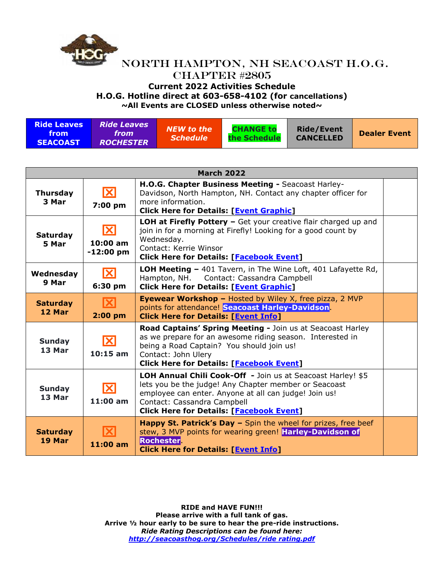

### NORTH HAMPTON, NH SEACOAST H.O.G. CHAPTER #2805 **Current 2022 Activities Schedule H.O.G. Hotline direct at 603-658-4102 (for cancellations) ~All Events are CLOSED unless otherwise noted~**

**Ride Leaves from SEACOAST** *Ride Leaves from ROCHESTER NEW to the Schedule* **CHANGE to the Schedule Ride/Event CANCELLED Dealer Event**

|                             |                                | <b>March 2022</b>                                                                                                                                                                                                                                               |  |
|-----------------------------|--------------------------------|-----------------------------------------------------------------------------------------------------------------------------------------------------------------------------------------------------------------------------------------------------------------|--|
| <b>Thursday</b><br>3 Mar    | $ \mathbf{X} $<br>7:00 pm      | H.O.G. Chapter Business Meeting - Seacoast Harley-<br>Davidson, North Hampton, NH. Contact any chapter officer for<br>more information.<br><b>Click Here for Details: [Event Graphic]</b>                                                                       |  |
| <b>Saturday</b><br>5 Mar    | X<br>$10:00$ am<br>$-12:00$ pm | <b>LOH at Firefly Pottery -</b> Get your creative flair charged up and<br>join in for a morning at Firefly! Looking for a good count by<br>Wednesday.<br>Contact: Kerrie Winsor<br><b>Click Here for Details: [Facebook Event]</b>                              |  |
| Wednesday<br>9 Mar          | $ \mathbf{X} $<br>6:30 pm      | <b>LOH Meeting - 401 Tavern, in The Wine Loft, 401 Lafayette Rd,</b><br>Hampton, NH. Contact: Cassandra Campbell<br><b>Click Here for Details: [Event Graphic]</b>                                                                                              |  |
| <b>Saturday</b><br>$12$ Mar | $ \mathbf{X} $<br>$2:00$ pm    | <b>Eyewear Workshop - Hosted by Wiley X, free pizza, 2 MVP</b><br>points for attendance! Seacoast Harley-Davidson.<br><b>Click Here for Details: [Event Info]</b>                                                                                               |  |
| <b>Sunday</b><br>13 Mar     | ΙXΙ<br>$10:15$ am              | Road Captains' Spring Meeting - Join us at Seacoast Harley<br>as we prepare for an awesome riding season. Interested in<br>being a Road Captain? You should join us!<br>Contact: John Ulery<br><b>Click Here for Details: [Facebook Event]</b>                  |  |
| <b>Sunday</b><br>13 Mar     | X<br>$11:00$ am                | LOH Annual Chili Cook-Off - Join us at Seacoast Harley! \$5<br>lets you be the judge! Any Chapter member or Seacoast<br>employee can enter. Anyone at all can judge! Join us!<br>Contact: Cassandra Campbell<br><b>Click Here for Details: [Facebook Event]</b> |  |
| <b>Saturday</b><br>19 Mar   | $11:00$ am                     | Happy St. Patrick's Day - Spin the wheel for prizes, free beef<br>stew, 3 MVP points for wearing green! Harley-Davidson of<br><b>Rochester</b><br><b>Click Here for Details: [Event Info]</b>                                                                   |  |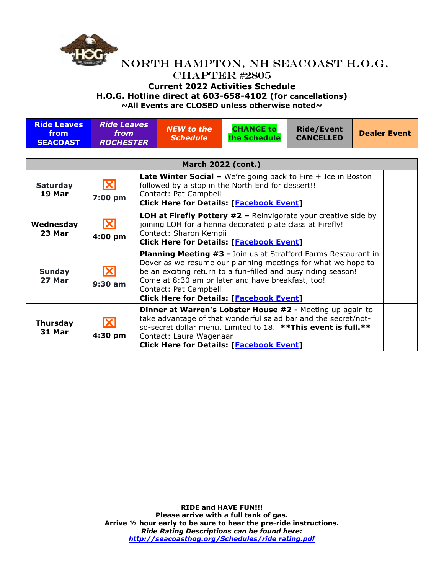

# NORTH HAMPTON, NH SEACOAST H.O.G.

# CHAPTER #2805

**Current 2022 Activities Schedule**

**H.O.G. Hotline direct at 603-658-4102 (for cancellations)**

| <b>Ride Leaves</b><br>from<br><b>SEACOAST</b> | <b>Ride Leaves</b><br>from<br><b>ROCHESTER</b> | <b>NEW to the</b><br><b>Schedule</b>                                                                                                                                                                                                                                                                                             | <b>CHANGE to</b><br>the Schedule                                                                                                                                                                                                                 | <b>Ride/Event</b><br><b>CANCELLED</b> |  | <b>Dealer Event</b> |
|-----------------------------------------------|------------------------------------------------|----------------------------------------------------------------------------------------------------------------------------------------------------------------------------------------------------------------------------------------------------------------------------------------------------------------------------------|--------------------------------------------------------------------------------------------------------------------------------------------------------------------------------------------------------------------------------------------------|---------------------------------------|--|---------------------|
|                                               |                                                |                                                                                                                                                                                                                                                                                                                                  |                                                                                                                                                                                                                                                  |                                       |  |                     |
|                                               |                                                |                                                                                                                                                                                                                                                                                                                                  | <b>March 2022 (cont.)</b>                                                                                                                                                                                                                        |                                       |  |                     |
| <b>Saturday</b><br>19 Mar                     | <b>X</b><br>7:00 pm                            | Late Winter Social - We're going back to Fire + Ice in Boston<br>followed by a stop in the North End for dessert!!<br>Contact: Pat Campbell<br><b>Click Here for Details: [Facebook Event]</b>                                                                                                                                   |                                                                                                                                                                                                                                                  |                                       |  |                     |
| Wednesday<br>23 Mar                           | ΙXΙ<br>4:00 pm                                 | <b>LOH at Firefly Pottery <math>#2</math> – Reinvigorate your creative side by</b><br>joining LOH for a henna decorated plate class at Firefly!<br>Contact: Sharon Kempii<br><b>Click Here for Details: [Facebook Event]</b>                                                                                                     |                                                                                                                                                                                                                                                  |                                       |  |                     |
| <b>Sunday</b><br>27 Mar                       | X<br>$9:30$ am                                 | Planning Meeting #3 - Join us at Strafford Farms Restaurant in<br>Dover as we resume our planning meetings for what we hope to<br>be an exciting return to a fun-filled and busy riding season!<br>Come at 8:30 am or later and have breakfast, too!<br>Contact: Pat Campbell<br><b>Click Here for Details: [Facebook Event]</b> |                                                                                                                                                                                                                                                  |                                       |  |                     |
| <b>Thursday</b><br>31 Mar                     | X<br>4:30 pm                                   | Contact: Laura Wagenaar                                                                                                                                                                                                                                                                                                          | Dinner at Warren's Lobster House #2 - Meeting up again to<br>take advantage of that wonderful salad bar and the secret/not-<br>so-secret dollar menu. Limited to 18. ** This event is full.**<br><b>Click Here for Details: [Facebook Event]</b> |                                       |  |                     |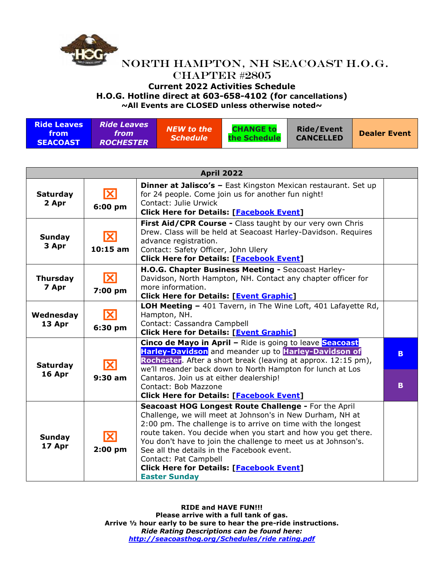

**~All Events are CLOSED unless otherwise noted~**

| <b>Ride Leaves</b><br>from<br><b>SEACOAST</b> | Ride Leaves<br>from<br><b>ROCHESTER</b> | <b>NEW to the</b><br><i><b>Schedule</b></i> | <b>CHANGE to</b><br>the Schedule | <b>Ride/Event</b><br><b>CANCELLED</b> | <b>Dealer Event</b> |
|-----------------------------------------------|-----------------------------------------|---------------------------------------------|----------------------------------|---------------------------------------|---------------------|
|-----------------------------------------------|-----------------------------------------|---------------------------------------------|----------------------------------|---------------------------------------|---------------------|

| <b>April 2022</b>         |                             |                                                                                                                                                                                                                                                                                                                                                                                                                                                                       |         |  |  |
|---------------------------|-----------------------------|-----------------------------------------------------------------------------------------------------------------------------------------------------------------------------------------------------------------------------------------------------------------------------------------------------------------------------------------------------------------------------------------------------------------------------------------------------------------------|---------|--|--|
| <b>Saturday</b><br>2 Apr  | $\mathbf{X}$<br>6:00 pm     | <b>Dinner at Jalisco's - East Kingston Mexican restaurant. Set up</b><br>for 24 people. Come join us for another fun night!<br>Contact: Julie Urwick<br><b>Click Here for Details: [Facebook Event]</b>                                                                                                                                                                                                                                                               |         |  |  |
| <b>Sunday</b><br>3 Apr    | $\mathbf{X}$<br>$10:15$ am  | First Aid/CPR Course - Class taught by our very own Chris<br>Drew. Class will be held at Seacoast Harley-Davidson. Requires<br>advance registration.<br>Contact: Safety Officer, John Ulery<br><b>Click Here for Details: [Facebook Event]</b>                                                                                                                                                                                                                        |         |  |  |
| <b>Thursday</b><br>7 Apr  | $\mathbf{X}$<br>7:00 pm     | H.O.G. Chapter Business Meeting - Seacoast Harley-<br>Davidson, North Hampton, NH. Contact any chapter officer for<br>more information.<br><b>Click Here for Details: [Event Graphic]</b>                                                                                                                                                                                                                                                                             |         |  |  |
| Wednesday<br>13 Apr       | $ \mathbf{X} $<br>6:30 pm   | LOH Meeting - 401 Tavern, in The Wine Loft, 401 Lafayette Rd,<br>Hampton, NH.<br>Contact: Cassandra Campbell<br><b>Click Here for Details: [Event Graphic]</b>                                                                                                                                                                                                                                                                                                        |         |  |  |
| <b>Saturday</b><br>16 Apr | $ \mathbf{X} $<br>$9:30$ am | Cinco de Mayo in April - Ride is going to leave Seacoast<br>Harley-Davidson and meander up to Harley-Davidson of<br>Rochester. After a short break (leaving at approx. 12:15 pm),<br>we'll meander back down to North Hampton for lunch at Los<br>Cantaros. Join us at either dealership!<br>Contact: Bob Mazzone<br><b>Click Here for Details: [Facebook Event]</b>                                                                                                  | B.<br>B |  |  |
| <b>Sunday</b><br>17 Apr   | X<br>$2:00$ pm              | Seacoast HOG Longest Route Challenge - For the April<br>Challenge, we will meet at Johnson's in New Durham, NH at<br>2:00 pm. The challenge is to arrive on time with the longest<br>route taken. You decide when you start and how you get there.<br>You don't have to join the challenge to meet us at Johnson's.<br>See all the details in the Facebook event.<br>Contact: Pat Campbell<br><b>Click Here for Details: [Facebook Event]</b><br><b>Easter Sunday</b> |         |  |  |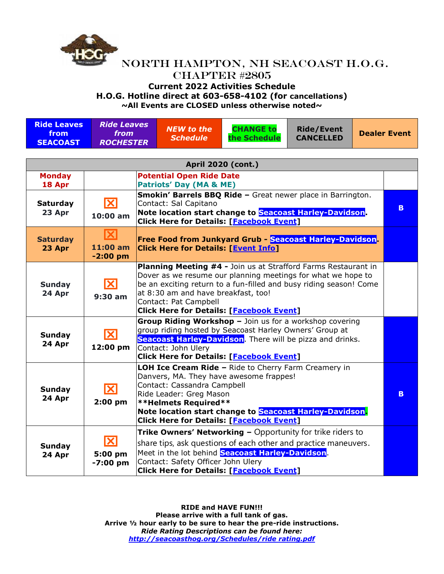

#### **Current 2022 Activities Schedule**

**H.O.G. Hotline direct at 603-658-4102 (for cancellations)**

**~All Events are CLOSED unless otherwise noted~**

| <b>Ride Leaves</b><br>from<br><b>SEACOAST</b> | <b>Ride Leaves</b><br>from<br><b>ROCHESTER</b>   |                                                                                                                                                                                                                                                                                                        | <b>NEW to the</b><br><b>Schedule</b>                                                                                                                                                                                                                                                                                    | <b>CHANGE to</b><br>the Schedule                                                                                                                                                                                                            | <b>Ride/Event</b><br><b>CANCELLED</b> |  | <b>Dealer Event</b> |
|-----------------------------------------------|--------------------------------------------------|--------------------------------------------------------------------------------------------------------------------------------------------------------------------------------------------------------------------------------------------------------------------------------------------------------|-------------------------------------------------------------------------------------------------------------------------------------------------------------------------------------------------------------------------------------------------------------------------------------------------------------------------|---------------------------------------------------------------------------------------------------------------------------------------------------------------------------------------------------------------------------------------------|---------------------------------------|--|---------------------|
|                                               |                                                  |                                                                                                                                                                                                                                                                                                        |                                                                                                                                                                                                                                                                                                                         |                                                                                                                                                                                                                                             |                                       |  |                     |
|                                               |                                                  |                                                                                                                                                                                                                                                                                                        |                                                                                                                                                                                                                                                                                                                         | <b>April 2020 (cont.)</b>                                                                                                                                                                                                                   |                                       |  |                     |
| <b>Monday</b><br>18 Apr                       |                                                  |                                                                                                                                                                                                                                                                                                        | <b>Potential Open Ride Date</b><br><b>Patriots' Day (MA &amp; ME)</b>                                                                                                                                                                                                                                                   |                                                                                                                                                                                                                                             |                                       |  |                     |
| <b>Saturday</b><br>23 Apr                     | $\overline{\mathbf{X}}$<br>$10:00$ am            |                                                                                                                                                                                                                                                                                                        | Contact: Sal Capitano                                                                                                                                                                                                                                                                                                   | Smokin' Barrels BBQ Ride - Great newer place in Barrington.<br>Note location start change to Seacoast Harley-Davidson.<br><b>Click Here for Details: [Facebook Event]</b>                                                                   |                                       |  | B.                  |
| <b>Saturday</b><br>23 Apr                     | ΙXΙ<br>11:00 am<br>$-2:00$ pm                    |                                                                                                                                                                                                                                                                                                        | Free Food from Junkyard Grub - Seacoast Harley-Davidson.<br><b>Click Here for Details: [Event Info]</b>                                                                                                                                                                                                                 |                                                                                                                                                                                                                                             |                                       |  |                     |
| <b>Sunday</b><br>24 Apr                       | ΙXΙ<br>$9:30$ am                                 |                                                                                                                                                                                                                                                                                                        | Planning Meeting #4 - Join us at Strafford Farms Restaurant in<br>Dover as we resume our planning meetings for what we hope to<br>be an exciting return to a fun-filled and busy riding season! Come<br>at 8:30 am and have breakfast, too!<br>Contact: Pat Campbell<br><b>Click Here for Details: [Facebook Event]</b> |                                                                                                                                                                                                                                             |                                       |  |                     |
| <b>Sunday</b><br>24 Apr                       | $\mathbf{X}$<br>12:00 pm                         |                                                                                                                                                                                                                                                                                                        | Group Riding Workshop - Join us for a workshop covering<br>group riding hosted by Seacoast Harley Owners' Group at<br>Seacoast Harley-Davidson. There will be pizza and drinks.<br>Contact: John Ulery<br><b>Click Here for Details: [Facebook Event]</b>                                                               |                                                                                                                                                                                                                                             |                                       |  |                     |
| <b>Sunday</b><br>24 Apr                       | $ \mathbf{X} $<br>$2:00$ pm                      | LOH Ice Cream Ride - Ride to Cherry Farm Creamery in<br>Danvers, MA. They have awesome frappes!<br>Contact: Cassandra Campbell<br>Ride Leader: Greg Mason<br><b>**Helmets Required**</b><br>Note location start change to Seacoast Harley-Davidson.<br><b>Click Here for Details: [Facebook Event]</b> |                                                                                                                                                                                                                                                                                                                         |                                                                                                                                                                                                                                             |                                       |  | B.                  |
| <b>Sunday</b><br>24 Apr                       | $\overline{\mathbf{X}}$<br>5:00 pm<br>$-7:00$ pm |                                                                                                                                                                                                                                                                                                        | Contact: Safety Officer John Ulery                                                                                                                                                                                                                                                                                      | <b>Trike Owners' Networking - Opportunity for trike riders to</b><br>share tips, ask questions of each other and practice maneuvers.<br>Meet in the lot behind Seacoast Harley-Davidson.<br><b>Click Here for Details: [Facebook Event]</b> |                                       |  |                     |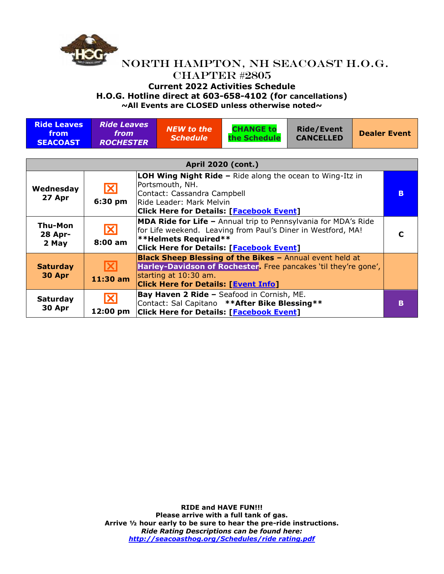

# **Current 2022 Activities Schedule**

**H.O.G. Hotline direct at 603-658-4102 (for cancellations)**

| <b>Ride Leaves</b><br>from<br><b>SEACOAST</b> | <b>Ride Leaves</b><br><i>from</i><br><b>ROCHESTER</b>                                                                                                                                                                                    |  | <b>NEW to the</b><br><b>Schedule</b>                                                                                                                                                                                    | <b>CHANGE to</b><br>the Schedule                                                                                                                 | <b>Ride/Event</b><br><b>CANCELLED</b> |    | <b>Dealer Event</b> |  |
|-----------------------------------------------|------------------------------------------------------------------------------------------------------------------------------------------------------------------------------------------------------------------------------------------|--|-------------------------------------------------------------------------------------------------------------------------------------------------------------------------------------------------------------------------|--------------------------------------------------------------------------------------------------------------------------------------------------|---------------------------------------|----|---------------------|--|
| <b>April 2020 (cont.)</b>                     |                                                                                                                                                                                                                                          |  |                                                                                                                                                                                                                         |                                                                                                                                                  |                                       |    |                     |  |
| Wednesday<br>27 Apr                           | <b>LOH Wing Night Ride - Ride along the ocean to Wing-Itz in</b><br>Portsmouth, NH.<br>$\mathbf{\overline{X}}$<br>Contact: Cassandra Campbell<br>6:30 pm<br>lRide Leader: Mark Melvin<br><b>Click Here for Details: [Facebook Event]</b> |  |                                                                                                                                                                                                                         |                                                                                                                                                  |                                       | B. |                     |  |
| Thu-Mon<br><b>28 Apr-</b><br>2 May            | $\mathbf{X}$<br>$8:00$ am                                                                                                                                                                                                                |  | <b>MDA Ride for Life - Annual trip to Pennsylvania for MDA's Ride</b><br>for Life weekend. Leaving from Paul's Diner in Westford, MA!<br><b>**Helmets Required**</b><br><b>Click Here for Details: [Facebook Event]</b> |                                                                                                                                                  |                                       |    |                     |  |
| <b>Saturday</b><br>30 Apr                     | IХ<br>$11:30$ am                                                                                                                                                                                                                         |  | starting at 10:30 am.<br><b>Click Here for Details: [Event Info]</b>                                                                                                                                                    | <b>Black Sheep Blessing of the Bikes - Annual event held at</b><br>Harley-Davidson of Rochester. Free pancakes 'til they're gone',               |                                       |    |                     |  |
| <b>Saturday</b><br>30 Apr                     | $\vert\mathsf{X}\vert$<br>12:00 pm                                                                                                                                                                                                       |  |                                                                                                                                                                                                                         | Bay Haven 2 Ride - Seafood in Cornish, ME.<br>Contact: Sal Capitano ** After Bike Blessing **<br><b>Click Here for Details: [Facebook Event]</b> |                                       |    | R                   |  |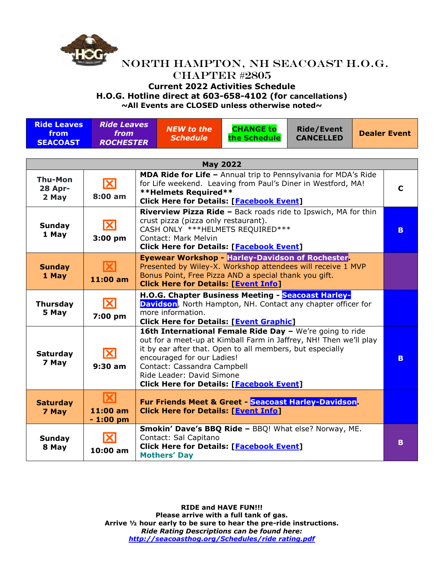

### NORTH HAMPTON, NH SEACOAST H.O.G. CHAPTER #2805 **Current 2022 Activities Schedule**

**H.O.G. Hotline direct at 603-658-4102 (for cancellations) ~All Events are CLOSED unless otherwise noted~**

|                                               |                                                |                                                                                                                   |                                                                                                                                                                                                                                                                                                                                                                                           | <b>PAIL EVENTS ALE CLOSED UNITERS OUTERWISE HOLEUP</b>                                                                                                                            |                     |  |   |
|-----------------------------------------------|------------------------------------------------|-------------------------------------------------------------------------------------------------------------------|-------------------------------------------------------------------------------------------------------------------------------------------------------------------------------------------------------------------------------------------------------------------------------------------------------------------------------------------------------------------------------------------|-----------------------------------------------------------------------------------------------------------------------------------------------------------------------------------|---------------------|--|---|
| <b>Ride Leaves</b><br>from<br><b>SEACOAST</b> | <b>Ride Leaves</b><br>from<br><b>ROCHESTER</b> | <b>CHANGE to</b><br><b>NEW to the</b><br><b>Ride/Event</b><br><b>CANCELLED</b><br><b>Schedule</b><br>the Schedule |                                                                                                                                                                                                                                                                                                                                                                                           |                                                                                                                                                                                   | <b>Dealer Event</b> |  |   |
|                                               |                                                |                                                                                                                   |                                                                                                                                                                                                                                                                                                                                                                                           |                                                                                                                                                                                   |                     |  |   |
|                                               |                                                |                                                                                                                   |                                                                                                                                                                                                                                                                                                                                                                                           | <b>May 2022</b>                                                                                                                                                                   |                     |  |   |
| <b>Thu-Mon</b><br><b>28 Apr-</b><br>2 May     | $\overline{\mathbf{X}}$<br>8:00 am             |                                                                                                                   | <b>**Helmets Required**</b>                                                                                                                                                                                                                                                                                                                                                               | MDA Ride for Life - Annual trip to Pennsylvania for MDA's Ride<br>for Life weekend. Leaving from Paul's Diner in Westford, MA!<br><b>Click Here for Details: [Facebook Event]</b> |                     |  | C |
| Sunday<br>1 May                               | $\mathbf{X}$<br>$3:00$ pm                      |                                                                                                                   | Riverview Pizza Ride - Back roads ride to Ipswich, MA for thin<br>crust pizza (pizza only restaurant).<br>CASH ONLY *** HELMETS REQUIRED***<br>Contact: Mark Melvin<br><b>Click Here for Details: [Facebook Event]</b>                                                                                                                                                                    |                                                                                                                                                                                   |                     |  |   |
| <b>Sunday</b><br>1 May                        | IХ<br>11:00 am                                 |                                                                                                                   | <b>Eyewear Workshop - Harley-Davidson of Rochester</b><br>Presented by Wiley-X. Workshop attendees will receive 1 MVP<br>Bonus Point, Free Pizza AND a special thank you gift.<br><b>Click Here for Details: [Event Info]</b>                                                                                                                                                             |                                                                                                                                                                                   |                     |  |   |
| <b>Thursday</b><br>5 May                      | $\overline{\mathbf{X}}$<br>7:00 pm             |                                                                                                                   | H.O.G. Chapter Business Meeting - Seacoast Harley-<br><b>Davidson</b> , North Hampton, NH. Contact any chapter officer for<br>more information.                                                                                                                                                                                                                                           |                                                                                                                                                                                   |                     |  |   |
| <b>Saturday</b><br>7 May                      | $\overline{\mathbf{X}}$<br>9:30 am             |                                                                                                                   | <b>Click Here for Details: [Event Graphic]</b><br>16th International Female Ride Day - We're going to ride<br>out for a meet-up at Kimball Farm in Jaffrey, NH! Then we'll play<br>it by ear after that. Open to all members, but especially<br>encouraged for our Ladies!<br>Contact: Cassandra Campbell<br>Ride Leader: David Simone<br><b>Click Here for Details: [Facebook Event]</b> |                                                                                                                                                                                   |                     |  |   |
| <b>Saturday</b><br>7 May                      | $ \mathbf{X} $<br>11:00 am<br>$-1:00$ pm       |                                                                                                                   |                                                                                                                                                                                                                                                                                                                                                                                           | <b>Fur Friends Meet &amp; Greet - Seacoast Harley-Davidson.</b><br><b>Click Here for Details: [Event Info]</b>                                                                    |                     |  |   |
| Sunday<br>8 May                               | IХ<br>10:00 am                                 |                                                                                                                   | Contact: Sal Capitano<br><b>Mothers' Day</b>                                                                                                                                                                                                                                                                                                                                              | Smokin' Dave's BBQ Ride - BBQ! What else? Norway, ME.<br><b>Click Here for Details: [Facebook Event]</b>                                                                          |                     |  | B |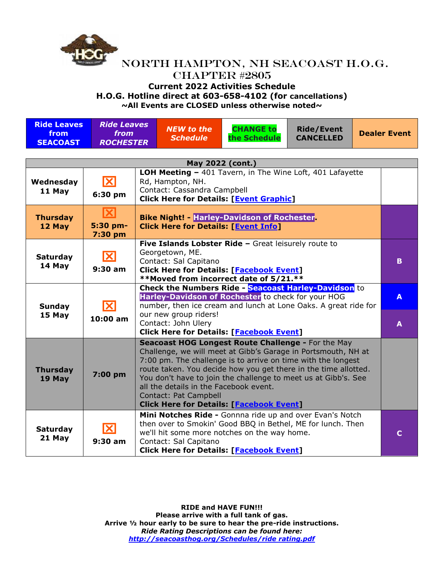

#### **Current 2022 Activities Schedule**

**H.O.G. Hotline direct at 603-658-4102 (for cancellations)**

**~All Events are CLOSED unless otherwise noted~**

| <b>Ride Leaves</b><br>from<br><b>SEACOAST</b> | <b>Ride Leaves</b><br>from<br><b>ROCHESTER</b> |  | <b>NEW to the</b><br><b>Schedule</b>                                                                                                                                                          | <b>CHANGE to</b><br>the Schedule                                                                                                                                                                                                                                                                                                                                            | <b>Ride/Event</b><br><b>CANCELLED</b> |  | <b>Dealer Event</b> |  |
|-----------------------------------------------|------------------------------------------------|--|-----------------------------------------------------------------------------------------------------------------------------------------------------------------------------------------------|-----------------------------------------------------------------------------------------------------------------------------------------------------------------------------------------------------------------------------------------------------------------------------------------------------------------------------------------------------------------------------|---------------------------------------|--|---------------------|--|
| May 2022 (cont.)                              |                                                |  |                                                                                                                                                                                               |                                                                                                                                                                                                                                                                                                                                                                             |                                       |  |                     |  |
| Wednesday<br>11 May                           | X<br>6:30 pm                                   |  | Rd, Hampton, NH.<br>Contact: Cassandra Campbell                                                                                                                                               | LOH Meeting - 401 Tavern, in The Wine Loft, 401 Lafayette<br><b>Click Here for Details: [Event Graphic]</b>                                                                                                                                                                                                                                                                 |                                       |  |                     |  |
| <b>Thursday</b><br>12 May                     | $\overline{\mathbf{X}}$<br>5:30 pm-<br>7:30 pm |  | <b>Bike Night! - Harley-Davidson of Rochester</b><br><b>Click Here for Details: [Event Info]</b>                                                                                              |                                                                                                                                                                                                                                                                                                                                                                             |                                       |  |                     |  |
| <b>Saturday</b><br>14 May                     | X<br>$9:30$ am                                 |  | Five Islands Lobster Ride - Great leisurely route to<br>Georgetown, ME.<br>Contact: Sal Capitano<br><b>Click Here for Details: [Facebook Event]</b><br>**Moved from incorrect date of 5/21.** |                                                                                                                                                                                                                                                                                                                                                                             |                                       |  |                     |  |
| Sunday<br>15 May                              | IХ<br>10:00 am                                 |  | our new group riders!<br>Contact: John Ulery                                                                                                                                                  | <b>Check the Numbers Ride - Seacoast Harley-Davidson</b> to<br>Harley-Davidson of Rochester to check for your HOG<br>number, then ice cream and lunch at Lone Oaks. A great ride for<br><b>Click Here for Details: [Facebook Event]</b>                                                                                                                                     |                                       |  | A<br>A              |  |
| <b>Thursday</b><br>19 May                     | 7:00 pm                                        |  | all the details in the Facebook event.<br>Contact: Pat Campbell                                                                                                                               | Seacoast HOG Longest Route Challenge - For the May<br>Challenge, we will meet at Gibb's Garage in Portsmouth, NH at<br>7:00 pm. The challenge is to arrive on time with the longest<br>route taken. You decide how you get there in the time allotted.<br>You don't have to join the challenge to meet us at Gibb's. See<br><b>Click Here for Details: [Facebook Event]</b> |                                       |  |                     |  |
| <b>Saturday</b><br>21 May                     | X<br>$9:30$ am                                 |  | Contact: Sal Capitano                                                                                                                                                                         | Mini Notches Ride - Gonnna ride up and over Evan's Notch<br>then over to Smokin' Good BBQ in Bethel, ME for lunch. Then<br>we'll hit some more notches on the way home.<br><b>Click Here for Details: [Facebook Event]</b>                                                                                                                                                  |                                       |  | $\mathbf C$         |  |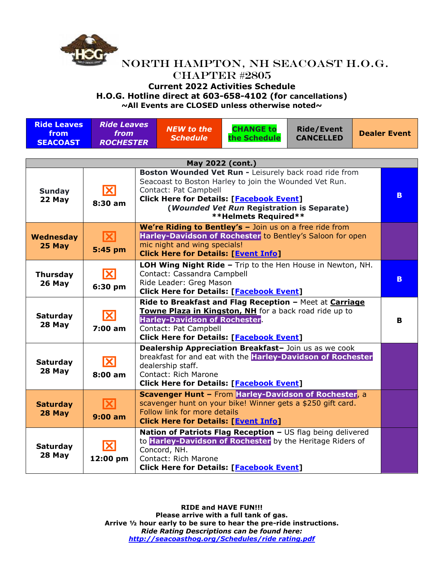

#### **Current 2022 Activities Schedule**

**H.O.G. Hotline direct at 603-658-4102 (for cancellations)**

**~All Events are CLOSED unless otherwise noted~**

| <b>Ride Leaves</b><br>from<br><b>SEACOAST</b> | <b>Ride Leaves</b><br><i>from</i><br><b>ROCHESTER</b> |  | <b>NEW to the</b><br><b>Schedule</b>                                                                                                                                                                                                                                      | <b>CHANGE to</b><br>the Schedule                                                                                                                                            | <b>Ride/Event</b><br><b>CANCELLED</b> | <b>Dealer Event</b> |    |  |
|-----------------------------------------------|-------------------------------------------------------|--|---------------------------------------------------------------------------------------------------------------------------------------------------------------------------------------------------------------------------------------------------------------------------|-----------------------------------------------------------------------------------------------------------------------------------------------------------------------------|---------------------------------------|---------------------|----|--|
|                                               |                                                       |  |                                                                                                                                                                                                                                                                           |                                                                                                                                                                             |                                       |                     |    |  |
| May 2022 (cont.)                              |                                                       |  |                                                                                                                                                                                                                                                                           |                                                                                                                                                                             |                                       |                     |    |  |
| <b>Sunday</b><br>22 May                       | $\mathbf{X}$<br>$8:30$ am                             |  | Boston Wounded Vet Run - Leisurely back road ride from<br>Seacoast to Boston Harley to join the Wounded Vet Run.<br>Contact: Pat Campbell<br><b>Click Here for Details: [Facebook Event]</b><br>(Wounded Vet Run Registration is Separate)<br><b>**Helmets Required**</b> |                                                                                                                                                                             |                                       |                     |    |  |
| Wednesday<br>25 May                           | $\mathbf{X}$<br>5:45 pm                               |  | mic night and wing specials!<br><b>Click Here for Details: [Event Info]</b>                                                                                                                                                                                               | We're Riding to Bentley's - Join us on a free ride from<br>Harley-Davidson of Rochester to Bentley's Saloon for open                                                        |                                       |                     |    |  |
| <b>Thursday</b><br>26 May                     | $\overline{\mathbf{X}}$<br>6:30 pm                    |  | LOH Wing Night Ride - Trip to the Hen House in Newton, NH.<br>Contact: Cassandra Campbell<br>Ride Leader: Greg Mason<br><b>Click Here for Details: [Facebook Event]</b>                                                                                                   |                                                                                                                                                                             |                                       |                     | B. |  |
| <b>Saturday</b><br>28 May                     | $\overline{\mathbf{X}}$<br>7:00 am                    |  | Ride to Breakfast and Flag Reception - Meet at Carriage<br>Towne Plaza in Kingston, NH for a back road ride up to<br><b>Harley-Davidson of Rochester</b><br>Contact: Pat Campbell<br><b>Click Here for Details: [Facebook Event]</b>                                      |                                                                                                                                                                             |                                       |                     |    |  |
| <b>Saturday</b><br>28 May                     | $\vert\mathbf{X}\vert$<br>$8:00$ am                   |  | Dealership Appreciation Breakfast- Join us as we cook<br>breakfast for and eat with the Harley-Davidson of Rochester<br>dealership staff.<br>Contact: Rich Marone<br><b>Click Here for Details: [Facebook Event]</b>                                                      |                                                                                                                                                                             |                                       |                     |    |  |
| <b>Saturday</b><br>28 May                     | IХ<br>$9:00$ am                                       |  | Follow link for more details<br><b>Click Here for Details: [Event Info]</b>                                                                                                                                                                                               | Scavenger Hunt - From Harley-Davidson of Rochester, a<br>scavenger hunt on your bike! Winner gets a \$250 gift card.                                                        |                                       |                     |    |  |
| <b>Saturday</b><br>28 May                     | $\overline{\mathbf{X}}$<br>12:00 pm                   |  | Concord, NH.<br>Contact: Rich Marone                                                                                                                                                                                                                                      | Nation of Patriots Flag Reception - US flag being delivered<br>to Harley-Davidson of Rochester by the Heritage Riders of<br><b>Click Here for Details: [Facebook Event]</b> |                                       |                     |    |  |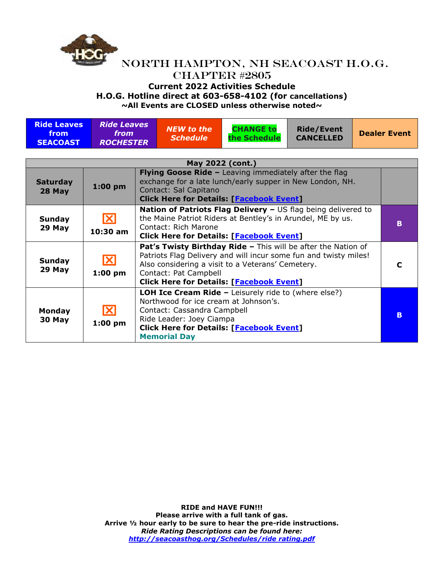

# **Current 2022 Activities Schedule**

**H.O.G. Hotline direct at 603-658-4102 (for cancellations)**

**~All Events are CLOSED unless otherwise noted~**

| <b>Ride Leaves</b><br>from<br><b>SEACOAST</b> | <b>Ride Leaves</b><br>from<br><b>ROCHESTER</b> |  | <b>NEW to the</b><br><b>Schedule</b>                                                                                                                                                                                                                               | <b>CHANGE to</b><br>the Schedule                                                                               | <b>Ride/Event</b><br><b>CANCELLED</b> |  | <b>Dealer Event</b> |  |
|-----------------------------------------------|------------------------------------------------|--|--------------------------------------------------------------------------------------------------------------------------------------------------------------------------------------------------------------------------------------------------------------------|----------------------------------------------------------------------------------------------------------------|---------------------------------------|--|---------------------|--|
| May 2022 (cont.)                              |                                                |  |                                                                                                                                                                                                                                                                    |                                                                                                                |                                       |  |                     |  |
| <b>Saturday</b><br>28 May                     | $1:00$ pm                                      |  | <b>Flying Goose Ride -</b> Leaving immediately after the flag<br>exchange for a late lunch/early supper in New London, NH.<br>Contact: Sal Capitano<br><b>Click Here for Details: [Facebook Event]</b>                                                             |                                                                                                                |                                       |  |                     |  |
| <b>Sunday</b><br>29 May                       | ΙXΙ<br>10:30 am                                |  | Nation of Patriots Flag Delivery - US flag being delivered to<br>the Maine Patriot Riders at Bentley's in Arundel, ME by us.<br>Contact: Rich Marone<br><b>Click Here for Details: [Facebook Event]</b>                                                            |                                                                                                                |                                       |  | B                   |  |
| <b>Sunday</b><br>29 May                       | $ \mathbf{X} $<br>$1:00$ pm                    |  | Pat's Twisty Birthday Ride - This will be after the Nation of<br>Patriots Flag Delivery and will incur some fun and twisty miles!<br>Also considering a visit to a Veterans' Cemetery.<br>Contact: Pat Campbell<br><b>Click Here for Details: [Facebook Event]</b> |                                                                                                                |                                       |  | C                   |  |
| <b>Monday</b><br>30 May                       | IXI<br>$1:00$ pm                               |  | Northwood for ice cream at Johnson's.<br>Contact: Cassandra Campbell<br>Ride Leader: Joey Ciampa                                                                                                                                                                   | <b>LOH Ice Cream Ride -</b> Leisurely ride to (where else?)<br><b>Click Here for Details: [Facebook Event]</b> |                                       |  | в                   |  |

**Memorial Day**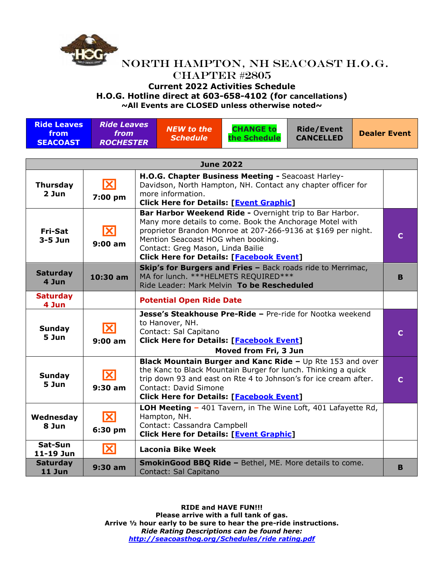

# **Current 2022 Activities Schedule**

**H.O.G. Hotline direct at 603-658-4102 (for cancellations)**

| <b>Ride Leaves</b><br>from<br><b>SEACOAST</b> | <b>Ride Leaves</b><br>from<br><b>ROCHESTER</b> |                                                                                                                                                                                   | <b>NEW to the</b><br><b>Schedule</b>                                                                                                                                                                                                                                                                               | <b>CHANGE to</b><br>the Schedule                                                                                                                                                                                                                         | <b>Ride/Event</b><br><b>CANCELLED</b> |  | <b>Dealer Event</b> |
|-----------------------------------------------|------------------------------------------------|-----------------------------------------------------------------------------------------------------------------------------------------------------------------------------------|--------------------------------------------------------------------------------------------------------------------------------------------------------------------------------------------------------------------------------------------------------------------------------------------------------------------|----------------------------------------------------------------------------------------------------------------------------------------------------------------------------------------------------------------------------------------------------------|---------------------------------------|--|---------------------|
|                                               |                                                |                                                                                                                                                                                   | <b>June 2022</b>                                                                                                                                                                                                                                                                                                   |                                                                                                                                                                                                                                                          |                                       |  |                     |
| <b>Thursday</b><br>2 Jun                      | $\mathbf{X}$<br>7:00 pm                        |                                                                                                                                                                                   | more information.                                                                                                                                                                                                                                                                                                  | H.O.G. Chapter Business Meeting - Seacoast Harley-<br>Davidson, North Hampton, NH. Contact any chapter officer for<br><b>Click Here for Details: [Event Graphic]</b>                                                                                     |                                       |  |                     |
| <b>Fri-Sat</b><br>$3-5$ Jun                   | <b>X</b><br>9:00 am                            |                                                                                                                                                                                   | Bar Harbor Weekend Ride - Overnight trip to Bar Harbor.<br>Many more details to come. Book the Anchorage Motel with<br>proprietor Brandon Monroe at 207-266-9136 at \$169 per night.<br>Mention Seacoast HOG when booking.<br>Contact: Greg Mason, Linda Bailie<br><b>Click Here for Details: [Facebook Event]</b> |                                                                                                                                                                                                                                                          |                                       |  |                     |
| <b>Saturday</b><br>4 Jun                      | 10:30 am                                       |                                                                                                                                                                                   | Skip's for Burgers and Fries - Back roads ride to Merrimac,<br>MA for lunch. *** HELMETS REQUIRED***<br>Ride Leader: Mark Melvin To be Rescheduled                                                                                                                                                                 |                                                                                                                                                                                                                                                          |                                       |  |                     |
| <b>Saturday</b><br>4 Jun                      |                                                |                                                                                                                                                                                   | <b>Potential Open Ride Date</b>                                                                                                                                                                                                                                                                                    |                                                                                                                                                                                                                                                          |                                       |  |                     |
| <b>Sunday</b><br>5 Jun                        | ΙXΙ<br>9:00 am                                 | Jesse's Steakhouse Pre-Ride - Pre-ride for Nootka weekend<br>to Hanover, NH.<br>Contact: Sal Capitano<br><b>Click Here for Details: [Facebook Event]</b><br>Moved from Fri, 3 Jun |                                                                                                                                                                                                                                                                                                                    |                                                                                                                                                                                                                                                          |                                       |  | $\mathbf C$         |
| <b>Sunday</b><br>5 Jun                        | $\overline{\mathbf{X}}$<br>$9:30$ am           |                                                                                                                                                                                   | Contact: David Simone                                                                                                                                                                                                                                                                                              | <b>Black Mountain Burger and Kanc Ride - Up Rte 153 and over</b><br>the Kanc to Black Mountain Burger for lunch. Thinking a quick<br>trip down 93 and east on Rte 4 to Johnson's for ice cream after.<br><b>Click Here for Details: [Facebook Event]</b> |                                       |  | C                   |
| Wednesday<br>8 Jun                            | <b>X</b><br>6:30 pm                            |                                                                                                                                                                                   | Hampton, NH.<br>Contact: Cassandra Campbell                                                                                                                                                                                                                                                                        | LOH Meeting - 401 Tavern, in The Wine Loft, 401 Lafayette Rd,<br><b>Click Here for Details: [Event Graphic]</b>                                                                                                                                          |                                       |  |                     |
| Sat-Sun<br>11-19 Jun                          | <b>X</b>                                       |                                                                                                                                                                                   | <b>Laconia Bike Week</b>                                                                                                                                                                                                                                                                                           |                                                                                                                                                                                                                                                          |                                       |  |                     |
| <b>Saturday</b><br>11 Jun                     | $9:30$ am                                      |                                                                                                                                                                                   | Contact: Sal Capitano                                                                                                                                                                                                                                                                                              | <b>SmokinGood BBQ Ride - Bethel, ME. More details to come.</b>                                                                                                                                                                                           |                                       |  | в                   |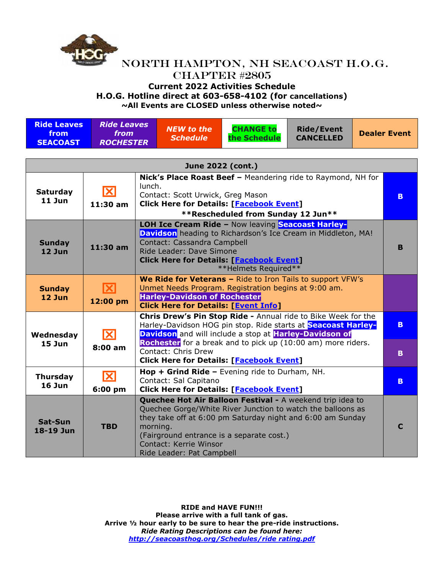

### **Current 2022 Activities Schedule**

**H.O.G. Hotline direct at 603-658-4102 (for cancellations)**

**~All Events are CLOSED unless otherwise noted~**

| <b>Ride Leaves</b><br>from<br><b>SEACOAST</b> | <b>Ride Leaves</b><br>from<br><b>ROCHESTER</b> \ | $\mathsf{N}\mathsf{E}\mathsf{W}$ to the $\mathsf{S}$<br><b>Schedule</b> | <b>CHANGE to</b><br>the Schedule | <b>Ride/Event</b><br><b>CANCELLED</b> | <b>Dealer Event</b> |
|-----------------------------------------------|--------------------------------------------------|-------------------------------------------------------------------------|----------------------------------|---------------------------------------|---------------------|
|-----------------------------------------------|--------------------------------------------------|-------------------------------------------------------------------------|----------------------------------|---------------------------------------|---------------------|

| June 2022 (cont.)           |                                    |                                                                                                                                                                                                                                                                                                        |          |  |  |  |  |
|-----------------------------|------------------------------------|--------------------------------------------------------------------------------------------------------------------------------------------------------------------------------------------------------------------------------------------------------------------------------------------------------|----------|--|--|--|--|
| <b>Saturday</b><br>$11$ Jun | K<br>$11:30$ am                    | Nick's Place Roast Beef - Meandering ride to Raymond, NH for<br>lunch.<br>Contact: Scott Urwick, Greg Mason<br><b>Click Here for Details: [Facebook Event]</b><br>**Rescheduled from Sunday 12 Jun**                                                                                                   | B.       |  |  |  |  |
| <b>Sunday</b><br>$12$ Jun   | $11:30$ am                         | <b>LOH Ice Cream Ride - Now leaving Seacoast Harley-</b><br>Davidson heading to Richardson's Ice Cream in Middleton, MA!<br>Contact: Cassandra Campbell<br>Ride Leader: Dave Simone<br><b>Click Here for Details: [Facebook Event]</b><br>**Helmets Required**                                         | B        |  |  |  |  |
| <b>Sunday</b><br>$12$ Jun   | $ \mathbf{X} $<br>12:00 pm         | We Ride for Veterans - Ride to Iron Tails to support VFW's<br>Unmet Needs Program. Registration begins at 9:00 am.<br><b>Harley-Davidson of Rochester</b><br><b>Click Here for Details: [Event Info]</b>                                                                                               |          |  |  |  |  |
| Wednesday<br>$15$ Jun       | ΙXΙ<br>8:00 am                     | Chris Drew's Pin Stop Ride - Annual ride to Bike Week for the<br>Harley-Davidson HOG pin stop. Ride starts at Seacoast Harley-<br>Davidson and will include a stop at Harley-Davidson of<br>Rochester for a break and to pick up (10:00 am) more riders.<br>Contact: Chris Drew                        | B.<br>B. |  |  |  |  |
|                             |                                    | <b>Click Here for Details: [Facebook Event]</b><br>Hop + Grind Ride - Evening ride to Durham, NH.                                                                                                                                                                                                      |          |  |  |  |  |
| <b>Thursday</b><br>$16$ Jun | $\overline{\mathbf{X}}$<br>6:00 pm | Contact: Sal Capitano<br><b>Click Here for Details: [Facebook Event]</b>                                                                                                                                                                                                                               | B.       |  |  |  |  |
| Sat-Sun<br>18-19 Jun        | <b>TBD</b>                         | Quechee Hot Air Balloon Festival - A weekend trip idea to<br>Quechee Gorge/White River Junction to watch the balloons as<br>they take off at 6:00 pm Saturday night and 6:00 am Sunday<br>morning.<br>(Fairground entrance is a separate cost.)<br>Contact: Kerrie Winsor<br>Ride Leader: Pat Campbell | C        |  |  |  |  |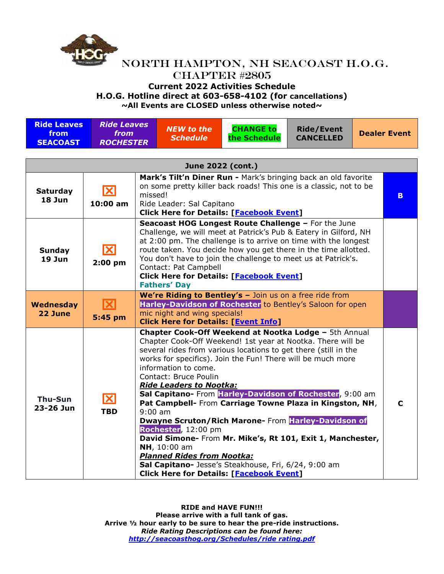

#### **Current 2022 Activities Schedule**

**H.O.G. Hotline direct at 603-658-4102 (for cancellations)**

| <b>Ride Leaves</b><br>from<br><b>SEACOAST</b> | <b>Ride Leaves</b><br>from<br><b>ROCHESTER</b> |                                                 | <b>NEW to the</b><br><b>Schedule</b>                                                                                                                                                                                                                                                                                                                                                                                                                                                                                                                                                                                                                                                                                                                                                   | <b>CHANGE to</b><br>the Schedule | <b>Ride/Event</b><br><b>CANCELLED</b> | <b>Dealer Event</b> |  |  |  |
|-----------------------------------------------|------------------------------------------------|-------------------------------------------------|----------------------------------------------------------------------------------------------------------------------------------------------------------------------------------------------------------------------------------------------------------------------------------------------------------------------------------------------------------------------------------------------------------------------------------------------------------------------------------------------------------------------------------------------------------------------------------------------------------------------------------------------------------------------------------------------------------------------------------------------------------------------------------------|----------------------------------|---------------------------------------|---------------------|--|--|--|
| June 2022 (cont.)                             |                                                |                                                 |                                                                                                                                                                                                                                                                                                                                                                                                                                                                                                                                                                                                                                                                                                                                                                                        |                                  |                                       |                     |  |  |  |
| <b>Saturday</b><br>18 Jun                     | X<br>10:00 am                                  |                                                 | Mark's Tilt'n Diner Run - Mark's bringing back an old favorite<br>on some pretty killer back roads! This one is a classic, not to be<br>missed!<br>Ride Leader: Sal Capitano<br><b>Click Here for Details: [Facebook Event]</b>                                                                                                                                                                                                                                                                                                                                                                                                                                                                                                                                                        |                                  |                                       |                     |  |  |  |
| <b>Sunday</b><br>$19$ Jun                     | $\mathbf{X}$<br>$2:00$ pm                      |                                                 | Seacoast HOG Longest Route Challenge - For the June<br>Challenge, we will meet at Patrick's Pub & Eatery in Gilford, NH<br>at 2:00 pm. The challenge is to arrive on time with the longest<br>route taken. You decide how you get there in the time allotted.<br>You don't have to join the challenge to meet us at Patrick's.<br>Contact: Pat Campbell<br><b>Click Here for Details: [Facebook Event]</b><br><b>Fathers' Day</b>                                                                                                                                                                                                                                                                                                                                                      |                                  |                                       |                     |  |  |  |
| Wednesday<br>22 June                          | $ \mathbf{X} $<br>5:45 pm                      |                                                 | We're Riding to Bentley's - Join us on a free ride from<br>Harley-Davidson of Rochester to Bentley's Saloon for open<br>mic night and wing specials!                                                                                                                                                                                                                                                                                                                                                                                                                                                                                                                                                                                                                                   |                                  |                                       |                     |  |  |  |
| Thu-Sun<br>23-26 Jun                          | $\mathbf x$<br><b>TBD</b>                      | <b>Click Here for Details: [Facebook Event]</b> | <b>Click Here for Details: [Event Info]</b><br>Chapter Cook-Off Weekend at Nootka Lodge - 5th Annual<br>Chapter Cook-Off Weekend! 1st year at Nootka. There will be<br>several rides from various locations to get there (still in the<br>works for specifics). Join the Fun! There will be much more<br>information to come.<br>Contact: Bruce Poulin<br><b>Ride Leaders to Nootka:</b><br>Sal Capitano- From Harley-Davidson of Rochester, 9:00 am<br>Pat Campbell- From Carriage Towne Plaza in Kingston, NH,<br>$9:00$ am<br>Dwayne Scruton/Rich Marone- From Harley-Davidson of<br>Rochester, 12:00 pm<br>David Simone- From Mr. Mike's, Rt 101, Exit 1, Manchester,<br>NH, 10:00 am<br><b>Planned Rides from Nootka:</b><br>Sal Capitano- Jesse's Steakhouse, Fri, 6/24, 9:00 am |                                  |                                       |                     |  |  |  |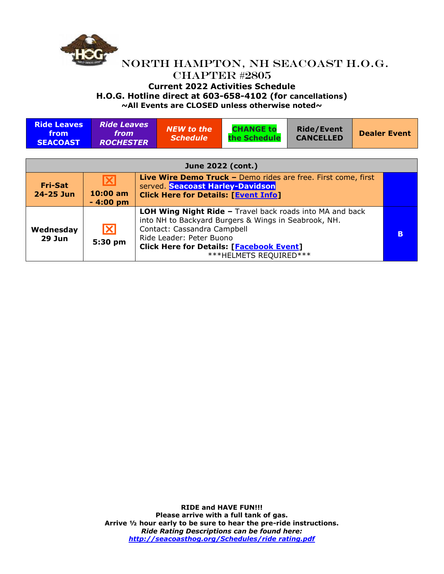

| <b>Ride Leaves</b><br>from<br><b>SEACOAST</b> | <b>Ride Leaves</b><br><i>from</i><br><b>ROCHESTER</b> |                                                                                                                                                                                                                                                                 | <b>NEW to the</b><br><b>Schedule</b>                                                                                                             | <b>CHANGE to</b><br>the Schedule | <b>Ride/Event</b><br><b>CANCELLED</b> |  | <b>Dealer Event</b> |  |
|-----------------------------------------------|-------------------------------------------------------|-----------------------------------------------------------------------------------------------------------------------------------------------------------------------------------------------------------------------------------------------------------------|--------------------------------------------------------------------------------------------------------------------------------------------------|----------------------------------|---------------------------------------|--|---------------------|--|
| June 2022 (cont.)                             |                                                       |                                                                                                                                                                                                                                                                 |                                                                                                                                                  |                                  |                                       |  |                     |  |
| <b>Fri-Sat</b><br>24-25 Jun                   | $\overline{\mathbf{X}}$<br>$10:00$ am<br>$-4:00$ pm   |                                                                                                                                                                                                                                                                 | Live Wire Demo Truck - Demo rides are free. First come, first<br>served. Seacoast Harley-Davidson<br><b>Click Here for Details: [Event Info]</b> |                                  |                                       |  |                     |  |
| Wednesday<br><b>29 Jun</b>                    | $\overline{\mathbf{X}}$<br>5:30 pm                    | <b>LOH Wing Night Ride - Travel back roads into MA and back</b><br>into NH to Backyard Burgers & Wings in Seabrook, NH.<br>Contact: Cassandra Campbell<br>Ride Leader: Peter Buono<br><b>Click Here for Details: [Facebook Event]</b><br>***HELMETS REQUIRED*** |                                                                                                                                                  |                                  |                                       |  | B                   |  |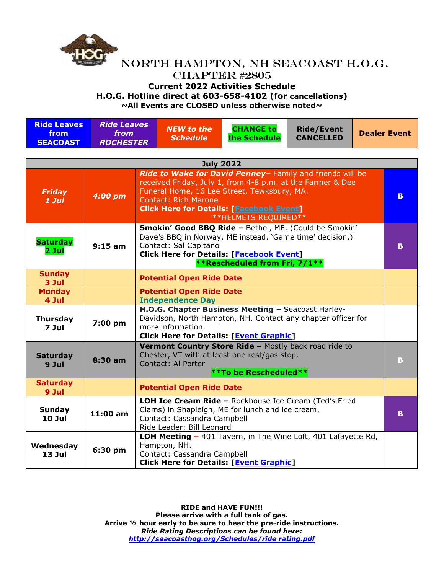

| <b>Ride Leaves</b><br>from<br><b>SEACOAST</b> | <b>Ride Leaves</b><br>from<br><b>ROCHESTER</b> | NEW to the<br><b>Schedule</b>                                                                                                                                                                                                                                                    | <b>CHANGE to</b><br>the Schedule                                                                                                      | <b>Ride/Event</b><br><b>CANCELLED</b> |  | <b>Dealer Event</b> |
|-----------------------------------------------|------------------------------------------------|----------------------------------------------------------------------------------------------------------------------------------------------------------------------------------------------------------------------------------------------------------------------------------|---------------------------------------------------------------------------------------------------------------------------------------|---------------------------------------|--|---------------------|
|                                               |                                                | <b>July 2022</b>                                                                                                                                                                                                                                                                 |                                                                                                                                       |                                       |  |                     |
| <b>Friday</b><br>$1$ Jul                      | 4:00 pm                                        | Ride to Wake for David Penney- Family and friends will be<br>received Friday, July 1, from 4-8 p.m. at the Farmer & Dee<br>Funeral Home, 16 Lee Street, Tewksbury, MA.<br><b>Contact: Rich Marone</b><br><b>Click Here for Details: [Facebook Event]</b><br>**HELMETS REQUIRED** |                                                                                                                                       |                                       |  |                     |
| <b>Saturday</b><br>$2$ Jul                    | $9:15$ am                                      | Smokin' Good BBQ Ride - Bethel, ME. (Could be Smokin'<br>Dave's BBQ in Norway, ME instead. 'Game time' decision.)<br>Contact: Sal Capitano<br><b>Click Here for Details: [Facebook Event]</b><br>**Rescheduled from Fri, 7/1**                                                   |                                                                                                                                       |                                       |  |                     |
| <b>Sunday</b><br>3 Jul                        |                                                | <b>Potential Open Ride Date</b>                                                                                                                                                                                                                                                  |                                                                                                                                       |                                       |  |                     |
| <b>Monday</b><br>4 Jul                        |                                                | <b>Potential Open Ride Date</b><br><b>Independence Day</b>                                                                                                                                                                                                                       |                                                                                                                                       |                                       |  |                     |
| <b>Thursday</b><br>7 Jul                      | 7:00 pm                                        | H.O.G. Chapter Business Meeting - Seacoast Harley-<br>Davidson, North Hampton, NH. Contact any chapter officer for<br>more information.<br><b>Click Here for Details: [Event Graphic]</b>                                                                                        |                                                                                                                                       |                                       |  |                     |
| <b>Saturday</b><br>9 Jul                      | $8:30$ am                                      | Contact: Al Porter                                                                                                                                                                                                                                                               | Vermont Country Store Ride - Mostly back road ride to<br>Chester, VT with at least one rest/gas stop.<br><b>**To be Rescheduled**</b> |                                       |  | B                   |
| <b>Saturday</b><br>9 Jul                      |                                                | <b>Potential Open Ride Date</b>                                                                                                                                                                                                                                                  |                                                                                                                                       |                                       |  |                     |
| Sunday<br><b>10 Jul</b>                       | 11:00 am                                       | Contact: Cassandra Campbell<br>Ride Leader: Bill Leonard                                                                                                                                                                                                                         | LOH Ice Cream Ride - Rockhouse Ice Cream (Ted's Fried<br>Clams) in Shapleigh, ME for lunch and ice cream.                             |                                       |  | B                   |
| Wednesday<br>$13$ Jul                         | 6:30 pm                                        | Hampton, NH.<br>Contact: Cassandra Campbell                                                                                                                                                                                                                                      | LOH Meeting - 401 Tavern, in The Wine Loft, 401 Lafayette Rd,<br><b>Click Here for Details: [Event Graphic]</b>                       |                                       |  |                     |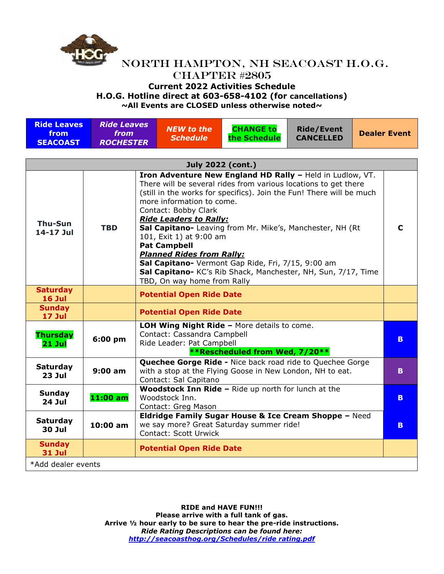

### **Current 2022 Activities Schedule**

**H.O.G. Hotline direct at 603-658-4102 (for cancellations)**

| <b>Ride Leaves</b><br>from<br><b>SEACOAST</b> | <b>Ride Leaves</b><br>from<br><b>ROCHESTER</b> |  | <b>NEW to the</b><br><b>Schedule</b>                                                                                                                                                                                                                                                                                                                                                                                                                                                                                                   | <b>CHANGE to</b><br>the Schedule | <b>Ride/Event</b><br><b>CANCELLED</b> |  | <b>Dealer Event</b> |  |
|-----------------------------------------------|------------------------------------------------|--|----------------------------------------------------------------------------------------------------------------------------------------------------------------------------------------------------------------------------------------------------------------------------------------------------------------------------------------------------------------------------------------------------------------------------------------------------------------------------------------------------------------------------------------|----------------------------------|---------------------------------------|--|---------------------|--|
|                                               |                                                |  |                                                                                                                                                                                                                                                                                                                                                                                                                                                                                                                                        |                                  |                                       |  |                     |  |
|                                               |                                                |  | <b>July 2022 (cont.)</b><br>Iron Adventure New England HD Rally - Held in Ludlow, VT.                                                                                                                                                                                                                                                                                                                                                                                                                                                  |                                  |                                       |  |                     |  |
| Thu-Sun<br>14-17 Jul                          | <b>TBD</b>                                     |  | There will be several rides from various locations to get there<br>(still in the works for specifics). Join the Fun! There will be much<br>more information to come.<br>Contact: Bobby Clark<br><b>Ride Leaders to Rally:</b><br>Sal Capitano- Leaving from Mr. Mike's, Manchester, NH (Rt<br>101, Exit 1) at 9:00 am<br><b>Pat Campbell</b><br><b>Planned Rides from Rally:</b><br>Sal Capitano- Vermont Gap Ride, Fri, 7/15, 9:00 am<br>Sal Capitano- KC's Rib Shack, Manchester, NH, Sun, 7/17, Time<br>TBD, On way home from Rally |                                  |                                       |  |                     |  |
| <b>Saturday</b><br>16 Jul                     |                                                |  | <b>Potential Open Ride Date</b>                                                                                                                                                                                                                                                                                                                                                                                                                                                                                                        |                                  |                                       |  |                     |  |
| <b>Sunday</b><br>17 Jul                       |                                                |  | <b>Potential Open Ride Date</b>                                                                                                                                                                                                                                                                                                                                                                                                                                                                                                        |                                  |                                       |  |                     |  |
| <b>Thursday</b><br>$21$ Jul                   | 6:00 pm                                        |  | LOH Wing Night Ride - More details to come.<br>Contact: Cassandra Campbell<br>Ride Leader: Pat Campbell<br><b>**Rescheduled from Wed, 7/20**</b>                                                                                                                                                                                                                                                                                                                                                                                       |                                  |                                       |  |                     |  |
| <b>Saturday</b><br><b>23 Jul</b>              | $9:00$ am                                      |  | <b>Quechee Gorge Ride - Nice back road ride to Quechee Gorge</b><br>with a stop at the Flying Goose in New London, NH to eat.<br>Contact: Sal Capitano                                                                                                                                                                                                                                                                                                                                                                                 |                                  |                                       |  | B.                  |  |
| Sunday<br><b>24 Jul</b>                       | $11:00$ am                                     |  | Woodstock Inn Ride - Ride up north for lunch at the<br>Woodstock Inn.<br>Contact: Greg Mason                                                                                                                                                                                                                                                                                                                                                                                                                                           |                                  |                                       |  | B.                  |  |
| <b>Saturday</b><br><b>30 Jul</b>              | 10:00 am                                       |  | Eldridge Family Sugar House & Ice Cream Shoppe - Need<br>we say more? Great Saturday summer ride!<br><b>Contact: Scott Urwick</b>                                                                                                                                                                                                                                                                                                                                                                                                      |                                  |                                       |  | B.                  |  |
| <b>Sunday</b><br><b>31 Jul</b>                |                                                |  | <b>Potential Open Ride Date</b>                                                                                                                                                                                                                                                                                                                                                                                                                                                                                                        |                                  |                                       |  |                     |  |
| *Add dealer events                            |                                                |  |                                                                                                                                                                                                                                                                                                                                                                                                                                                                                                                                        |                                  |                                       |  |                     |  |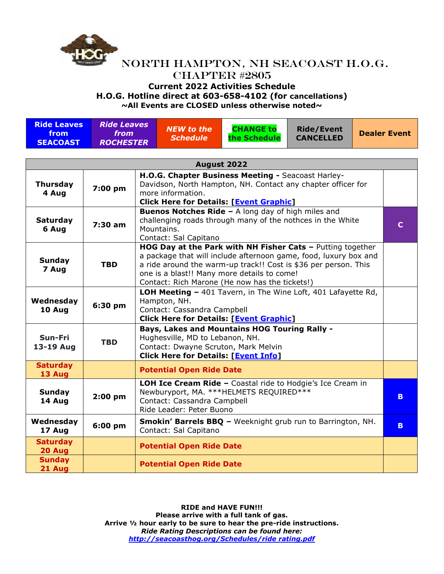

# NORTH HAMPTON, NH SEACOAST H.O.G. CHAPTER #2805 **Current 2022 Activities Schedule**

**H.O.G. Hotline direct at 603-658-4102 (for cancellations)**

| <b>Ride Leaves</b><br>from<br><b>SEACOAST</b> | <b>Ride Leaves</b><br>from<br><b>ROCHESTER</b> | <b>NEW to the</b><br><b>Schedule</b> | <b>CHANGE to</b><br>the Schedule | Ride/Event<br><b>CANCELLED</b> | <b>Dealer Event</b> |
|-----------------------------------------------|------------------------------------------------|--------------------------------------|----------------------------------|--------------------------------|---------------------|
|                                               |                                                |                                      |                                  |                                |                     |

| August 2022               |            |                                                                                                                                                                                                                                                                                                    |    |  |  |  |  |
|---------------------------|------------|----------------------------------------------------------------------------------------------------------------------------------------------------------------------------------------------------------------------------------------------------------------------------------------------------|----|--|--|--|--|
| <b>Thursday</b><br>4 Aug  | 7:00 pm    | H.O.G. Chapter Business Meeting - Seacoast Harley-<br>Davidson, North Hampton, NH. Contact any chapter officer for<br>more information.<br><b>Click Here for Details: [Event Graphic]</b>                                                                                                          |    |  |  |  |  |
| <b>Saturday</b><br>6 Aug  | $7:30$ am  | <b>Buenos Notches Ride - A long day of high miles and</b><br>challenging roads through many of the nothces in the White<br>Mountains.<br>Contact: Sal Capitano                                                                                                                                     | C. |  |  |  |  |
| Sunday<br>7 Aug           | <b>TBD</b> | HOG Day at the Park with NH Fisher Cats - Putting together<br>a package that will include afternoon game, food, luxury box and<br>a ride around the warm-up track!! Cost is \$36 per person. This<br>one is a blast!! Many more details to come!<br>Contact: Rich Marone (He now has the tickets!) |    |  |  |  |  |
| Wednesday<br>10 Aug       | 6:30 pm    | LOH Meeting - 401 Tavern, in The Wine Loft, 401 Lafayette Rd,<br>Hampton, NH.<br>Contact: Cassandra Campbell<br><b>Click Here for Details: [Event Graphic]</b>                                                                                                                                     |    |  |  |  |  |
| Sun-Fri<br>13-19 Aug      | <b>TBD</b> | Bays, Lakes and Mountains HOG Touring Rally -<br>Hughesville, MD to Lebanon, NH.<br>Contact: Dwayne Scruton, Mark Melvin<br><b>Click Here for Details: [Event Info]</b>                                                                                                                            |    |  |  |  |  |
| <b>Saturday</b><br>13 Aug |            | <b>Potential Open Ride Date</b>                                                                                                                                                                                                                                                                    |    |  |  |  |  |
| <b>Sunday</b><br>14 Aug   | $2:00$ pm  | LOH Ice Cream Ride - Coastal ride to Hodgie's Ice Cream in<br>Newburyport, MA. *** HELMETS REQUIRED***<br>Contact: Cassandra Campbell<br>Ride Leader: Peter Buono                                                                                                                                  | B. |  |  |  |  |
| Wednesday<br>17 Aug       | 6:00 pm    | Smokin' Barrels BBQ - Weeknight grub run to Barrington, NH.<br>Contact: Sal Capitano                                                                                                                                                                                                               | B. |  |  |  |  |
| <b>Saturday</b><br>20 Aug |            | <b>Potential Open Ride Date</b>                                                                                                                                                                                                                                                                    |    |  |  |  |  |
| <b>Sunday</b><br>21 Aug   |            | <b>Potential Open Ride Date</b>                                                                                                                                                                                                                                                                    |    |  |  |  |  |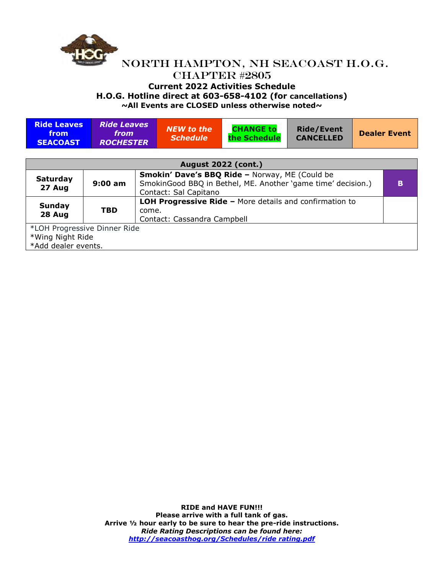

#### NORTH HAMPTON, NH SEACOAST H.O.G. CHAPTER #2805 **Current 2022 Activities Schedule H.O.G. Hotline direct at 603-658-4102 (for cancellations) ~All Events are CLOSED unless otherwise noted~**

**Ride Leaves from SEACOAST** *Ride Leaves from ROCHESTER NEW to the Schedule* **CHANGE to the Schedule Ride/Event CANCELLED Dealer Event August 2022 (cont.) Saturday 27 Aug 9:00 am Smokin' Dave's BBQ Ride –** Norway, ME (Could be SmokinGood BBQ in Bethel, ME. Another 'game time' decision.) Contact: Sal Capitano **B Sunday 28 Aug TBD LOH Progressive Ride –** More details and confirmation to come. Contact: Cassandra Campbell \*LOH Progressive Dinner Ride \*Wing Night Ride \*Add dealer events.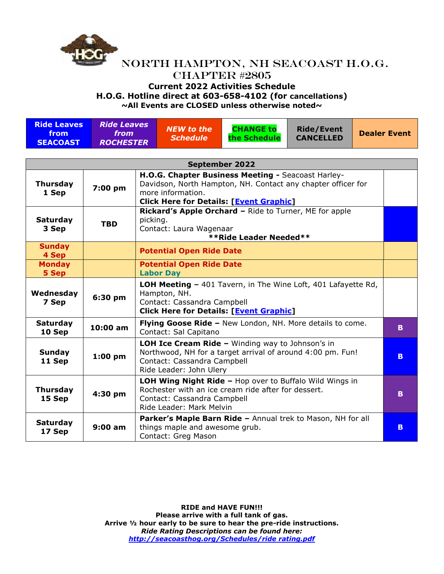

# NORTH HAMPTON, NH SEACOAST H.O.G. CHAPTER #2805 **Current 2022 Activities Schedule**

**H.O.G. Hotline direct at 603-658-4102 (for cancellations)**

**~All Events are CLOSED unless otherwise noted~**

| <b>Ride Leaves</b><br>from<br><b>SEACOAST</b> | <b>Ride Leaves</b><br>from<br><b>ROCHESTER</b> |                                                                                                                                                                          | <b>NEW to the</b><br><b>Schedule</b>                                                                                                                                                      | <b>CHANGE to</b><br>the Schedule                            | <b>Ride/Event</b><br><b>CANCELLED</b> |  | <b>Dealer Event</b> |
|-----------------------------------------------|------------------------------------------------|--------------------------------------------------------------------------------------------------------------------------------------------------------------------------|-------------------------------------------------------------------------------------------------------------------------------------------------------------------------------------------|-------------------------------------------------------------|---------------------------------------|--|---------------------|
|                                               |                                                |                                                                                                                                                                          |                                                                                                                                                                                           |                                                             |                                       |  |                     |
| <b>September 2022</b>                         |                                                |                                                                                                                                                                          |                                                                                                                                                                                           |                                                             |                                       |  |                     |
| <b>Thursday</b><br>1 Sep                      | 7:00 pm                                        |                                                                                                                                                                          | H.O.G. Chapter Business Meeting - Seacoast Harley-<br>Davidson, North Hampton, NH. Contact any chapter officer for<br>more information.<br><b>Click Here for Details: [Event Graphic]</b> |                                                             |                                       |  |                     |
| <b>Saturday</b><br>3 Sep                      | <b>TBD</b>                                     |                                                                                                                                                                          | Rickard's Apple Orchard - Ride to Turner, ME for apple<br>picking.<br>Contact: Laura Wagenaar<br><b>**Ride Leader Needed**</b>                                                            |                                                             |                                       |  |                     |
| <b>Sunday</b><br>4 Sep                        |                                                |                                                                                                                                                                          | <b>Potential Open Ride Date</b>                                                                                                                                                           |                                                             |                                       |  |                     |
| <b>Monday</b><br>5 Sep                        |                                                |                                                                                                                                                                          | <b>Potential Open Ride Date</b><br><b>Labor Day</b>                                                                                                                                       |                                                             |                                       |  |                     |
| Wednesday<br>7 Sep                            | 6:30 pm                                        |                                                                                                                                                                          | LOH Meeting - 401 Tavern, in The Wine Loft, 401 Lafayette Rd,<br>Hampton, NH.<br>Contact: Cassandra Campbell<br><b>Click Here for Details: [Event Graphic]</b>                            |                                                             |                                       |  |                     |
| <b>Saturday</b><br>10 Sep                     | 10:00 am                                       | Flying Goose Ride - New London, NH. More details to come.<br>Contact: Sal Capitano                                                                                       |                                                                                                                                                                                           |                                                             | B.                                    |  |                     |
| <b>Sunday</b><br>11 Sep                       | $1:00$ pm                                      | LOH Ice Cream Ride - Winding way to Johnson's in<br>Northwood, NH for a target arrival of around 4:00 pm. Fun!<br>Contact: Cassandra Campbell<br>Ride Leader: John Ulery |                                                                                                                                                                                           |                                                             | B.                                    |  |                     |
| <b>Thursday</b><br>15 Sep                     | 4:30 pm                                        |                                                                                                                                                                          | LOH Wing Night Ride - Hop over to Buffalo Wild Wings in<br>Rochester with an ice cream ride after for dessert.<br>Contact: Cassandra Campbell<br>Ride Leader: Mark Melvin                 |                                                             |                                       |  | B.                  |
| <b>Saturday</b><br>17 Sep                     | $9:00$ am                                      |                                                                                                                                                                          | things maple and awesome grub.<br>Contact: Greg Mason                                                                                                                                     | Parker's Maple Barn Ride - Annual trek to Mason, NH for all |                                       |  | B.                  |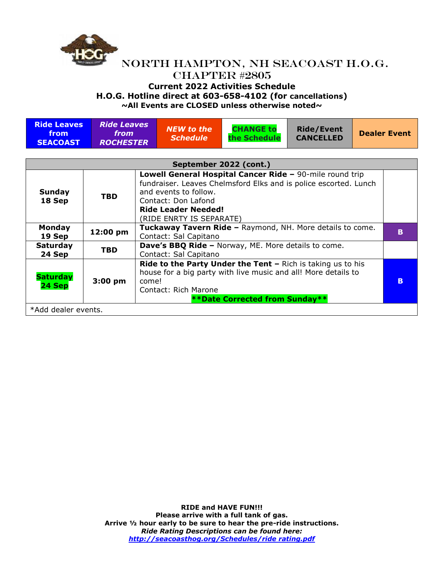

#### **Current 2022 Activities Schedule**

**H.O.G. Hotline direct at 603-658-4102 (for cancellations)**

| <b>Ride Leaves</b><br>from<br><b>SEACOAST</b>                                                                                                                                                                                                                                   | <b>Ride Leaves</b><br><i>from</i><br><b>ROCHESTER</b> |                                                                                                                                                                                                                | <b>NEW to the</b><br><b>Schedule</b>                                               | <b>CHANGE to</b><br>the Schedule | <b>Ride/Event</b><br><b>CANCELLED</b> | <b>Dealer Event</b> |   |
|---------------------------------------------------------------------------------------------------------------------------------------------------------------------------------------------------------------------------------------------------------------------------------|-------------------------------------------------------|----------------------------------------------------------------------------------------------------------------------------------------------------------------------------------------------------------------|------------------------------------------------------------------------------------|----------------------------------|---------------------------------------|---------------------|---|
| September 2022 (cont.)                                                                                                                                                                                                                                                          |                                                       |                                                                                                                                                                                                                |                                                                                    |                                  |                                       |                     |   |
|                                                                                                                                                                                                                                                                                 |                                                       |                                                                                                                                                                                                                |                                                                                    |                                  |                                       |                     |   |
| Lowell General Hospital Cancer Ride - 90-mile round trip<br>fundraiser. Leaves Chelmsford Elks and is police escorted. Lunch<br>and events to follow.<br><b>Sunday</b><br><b>TBD</b><br>18 Sep<br>Contact: Don Lafond<br><b>Ride Leader Needed!</b><br>(RIDE ENRTY IS SEPARATE) |                                                       |                                                                                                                                                                                                                |                                                                                    |                                  |                                       |                     |   |
| <b>Monday</b><br>19 Sep                                                                                                                                                                                                                                                         | 12:00 pm                                              |                                                                                                                                                                                                                | Tuckaway Tavern Ride - Raymond, NH. More details to come.<br>Contact: Sal Capitano |                                  |                                       |                     |   |
| <b>Saturday</b><br>24 Sep                                                                                                                                                                                                                                                       | <b>TBD</b>                                            | <b>Dave's BBQ Ride - Norway, ME. More details to come.</b><br>Contact: Sal Capitano                                                                                                                            |                                                                                    |                                  |                                       |                     |   |
| <b>Saturday</b><br>24 Sep                                                                                                                                                                                                                                                       | $3:00$ pm                                             | <b>Ride to the Party Under the Tent - Rich is taking us to his</b><br>house for a big party with live music and all! More details to<br>come!<br>Contact: Rich Marone<br><b>**Date Corrected from Sunday**</b> |                                                                                    |                                  |                                       |                     | B |
| *Add dealer events.                                                                                                                                                                                                                                                             |                                                       |                                                                                                                                                                                                                |                                                                                    |                                  |                                       |                     |   |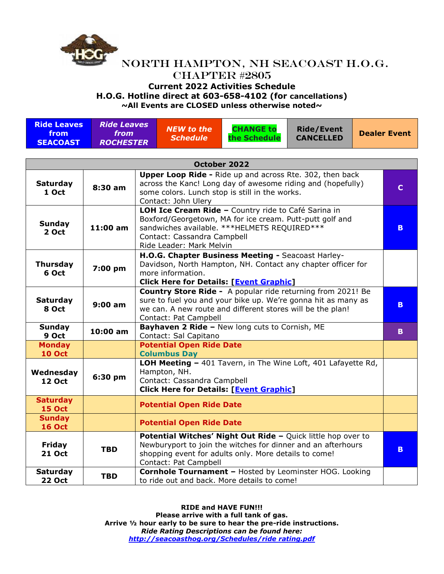

### **Current 2022 Activities Schedule**

**H.O.G. Hotline direct at 603-658-4102 (for cancellations)**

**~All Events are CLOSED unless otherwise noted~**

| <b>Ride Leaves</b><br>from<br><b>SEACOAST</b> | <b>Ride Leaves</b><br><i>from</i><br><b>ROCHESTER</b> | NEW to the i<br><b>Schedule</b> | <b>CHANGE to</b><br>the Schedule | <b>Ride/Event</b><br><b>CANCELLED</b> | Dealer Event |  |  |
|-----------------------------------------------|-------------------------------------------------------|---------------------------------|----------------------------------|---------------------------------------|--------------|--|--|
|                                               |                                                       |                                 |                                  |                                       |              |  |  |
| October 2022                                  |                                                       |                                 |                                  |                                       |              |  |  |

|                                  |            | UCLODEF ZUZZ                                                                                                                                                                                                                |    |  |  |
|----------------------------------|------------|-----------------------------------------------------------------------------------------------------------------------------------------------------------------------------------------------------------------------------|----|--|--|
| <b>Saturday</b><br>1 Oct         | 8:30 am    | <b>Upper Loop Ride - Ride up and across Rte. 302, then back</b><br>across the Kanc! Long day of awesome riding and (hopefully)<br>some colors. Lunch stop is still in the works.<br>Contact: John Ulery                     | C  |  |  |
| <b>Sunday</b><br>2 Oct           | 11:00 am   | LOH Ice Cream Ride - Country ride to Café Sarina in<br>Boxford/Georgetown, MA for ice cream. Putt-putt golf and<br>sandwiches available. *** HELMETS REQUIRED***<br>Contact: Cassandra Campbell<br>Ride Leader: Mark Melvin |    |  |  |
| <b>Thursday</b><br>6 Oct         | 7:00 pm    | H.O.G. Chapter Business Meeting - Seacoast Harley-<br>Davidson, North Hampton, NH. Contact any chapter officer for<br>more information.<br><b>Click Here for Details: [Event Graphic]</b>                                   |    |  |  |
| <b>Saturday</b><br>8 Oct         | 9:00 am    | <b>Country Store Ride -</b> A popular ride returning from 2021! Be<br>sure to fuel you and your bike up. We're gonna hit as many as<br>we can. A new route and different stores will be the plan!<br>Contact: Pat Campbell  | B. |  |  |
| Sunday<br>9 Oct                  | 10:00 am   | Bayhaven 2 Ride - New long cuts to Cornish, ME<br>Contact: Sal Capitano                                                                                                                                                     |    |  |  |
| <b>Monday</b><br><b>10 Oct</b>   |            | <b>Potential Open Ride Date</b><br><b>Columbus Day</b>                                                                                                                                                                      |    |  |  |
| Wednesday<br><b>12 Oct</b>       | 6:30 pm    | LOH Meeting - 401 Tavern, in The Wine Loft, 401 Lafayette Rd,<br>Hampton, NH.<br>Contact: Cassandra Campbell<br><b>Click Here for Details: [Event Graphic]</b>                                                              |    |  |  |
| <b>Saturday</b><br><b>15 Oct</b> |            | <b>Potential Open Ride Date</b>                                                                                                                                                                                             |    |  |  |
| <b>Sunday</b><br><b>16 Oct</b>   |            | <b>Potential Open Ride Date</b>                                                                                                                                                                                             |    |  |  |
| <b>Friday</b><br><b>21 Oct</b>   | <b>TBD</b> | Potential Witches' Night Out Ride - Quick little hop over to<br>Newburyport to join the witches for dinner and an afterhours<br>shopping event for adults only. More details to come!<br>Contact: Pat Campbell              | B. |  |  |
| <b>Saturday</b><br><b>22 Oct</b> | <b>TBD</b> | <b>Cornhole Tournament - Hosted by Leominster HOG. Looking</b><br>to ride out and back. More details to come!                                                                                                               |    |  |  |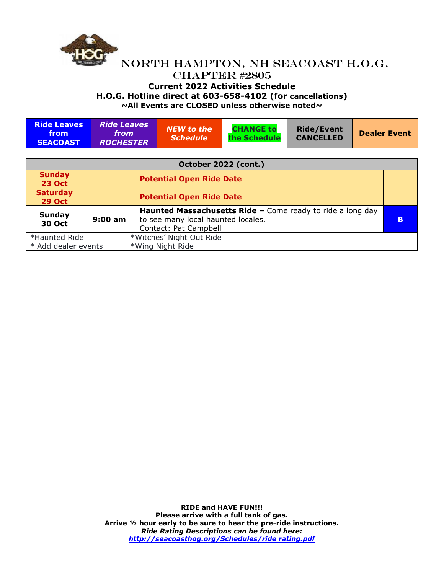

### NORTH HAMPTON, NH SEACOAST H.O.G. CHAPTER #2805 **Current 2022 Activities Schedule H.O.G. Hotline direct at 603-658-4102 (for cancellations) ~All Events are CLOSED unless otherwise noted~**

**Ride Leaves from SEACOAST** *Ride Leaves from ROCHESTER NEW to the Schedule* **CHANGE to the Schedule Ride/Event CANCELLED Dealer Event**

| October 2022 (cont.)             |           |                                                            |          |  |
|----------------------------------|-----------|------------------------------------------------------------|----------|--|
| <b>Sunday</b><br><b>23 Oct</b>   |           | <b>Potential Open Ride Date</b>                            |          |  |
| <b>Saturday</b><br><b>29 Oct</b> |           | <b>Potential Open Ride Date</b>                            |          |  |
| Sunday                           |           | Haunted Massachusetts Ride - Come ready to ride a long day |          |  |
| <b>30 Oct</b>                    | $9:00$ am | to see many local haunted locales.                         | <b>B</b> |  |
|                                  |           | Contact: Pat Campbell                                      |          |  |
| *Haunted Ride                    |           | *Witches' Night Out Ride                                   |          |  |
| * Add dealer events              |           | *Wing Night Ride                                           |          |  |